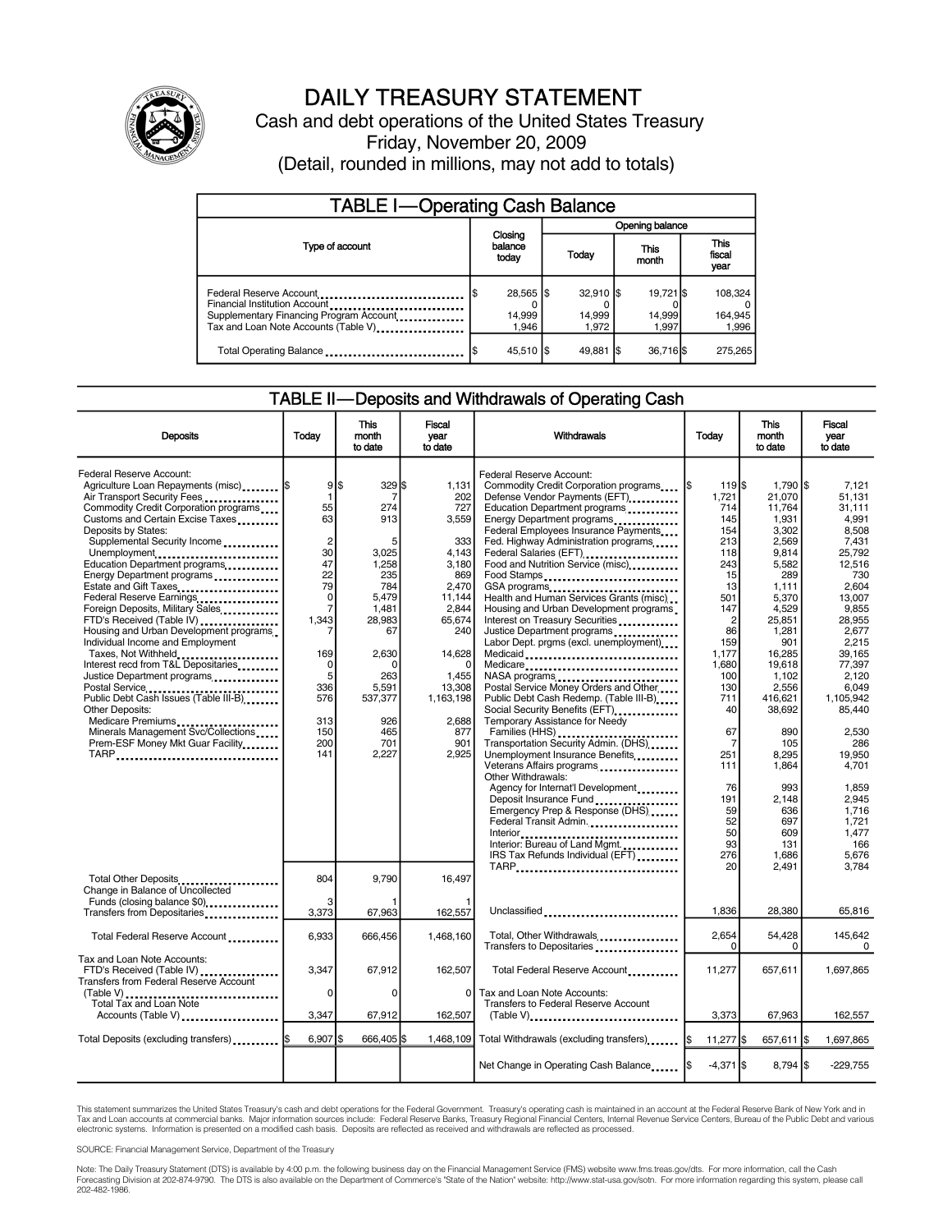

## DAILY TREASURY STATEMENT

Cash and debt operations of the United States Treasury Friday, November 20, 2009 (Detail, rounded in millions, may not add to totals)

| <b>TABLE I-Operating Cash Balance</b>                                                                                                       |                             |                              |                        |                               |  |                              |  |                               |
|---------------------------------------------------------------------------------------------------------------------------------------------|-----------------------------|------------------------------|------------------------|-------------------------------|--|------------------------------|--|-------------------------------|
|                                                                                                                                             | Closing<br>balance<br>today |                              | <b>Opening balance</b> |                               |  |                              |  |                               |
| Type of account                                                                                                                             |                             |                              |                        | Today                         |  | This<br>month                |  | <b>This</b><br>fiscal<br>year |
| Federal Reserve Account<br>Financial Institution Account<br>Supplementary Financing Program Account<br>Tax and Loan Note Accounts (Table V) |                             | 28,565 \$<br>14,999<br>1.946 |                        | $32.910$ S<br>14,999<br>1.972 |  | 19.721 \$<br>14,999<br>1.997 |  | 108,324<br>164,945<br>1,996   |
| Total Operating Balance                                                                                                                     |                             | 45,510   \$                  |                        | 49,881                        |  | 36,716 \$                    |  | 275,265                       |

#### TABLE II—Deposits and Withdrawals of Operating Cash

| <b>Deposits</b>                                                                                                                                                                                                                                                                                                                                                                                                                                                                                                                                                                                                                                                                                                                                                                                             | Today                                                                                                                                                                                   | <b>This</b><br>month<br>to date                                                                                                                                           | Fiscal<br>vear<br>to date                                                                                                                                                           | Withdrawals                                                                                                                                                                                                                                                                                                                                                                                                                                                                                                                                                                                                                                                                                                                                                                                                                                                                                                                                                                                                                                                         | Today                                                                                                                                                                                                                                          | <b>This</b><br>month<br>to date                                                                                                                                                                                                                                                       | <b>Fiscal</b><br>year<br>to date                                                                                                                                                                                                                                                                     |
|-------------------------------------------------------------------------------------------------------------------------------------------------------------------------------------------------------------------------------------------------------------------------------------------------------------------------------------------------------------------------------------------------------------------------------------------------------------------------------------------------------------------------------------------------------------------------------------------------------------------------------------------------------------------------------------------------------------------------------------------------------------------------------------------------------------|-----------------------------------------------------------------------------------------------------------------------------------------------------------------------------------------|---------------------------------------------------------------------------------------------------------------------------------------------------------------------------|-------------------------------------------------------------------------------------------------------------------------------------------------------------------------------------|---------------------------------------------------------------------------------------------------------------------------------------------------------------------------------------------------------------------------------------------------------------------------------------------------------------------------------------------------------------------------------------------------------------------------------------------------------------------------------------------------------------------------------------------------------------------------------------------------------------------------------------------------------------------------------------------------------------------------------------------------------------------------------------------------------------------------------------------------------------------------------------------------------------------------------------------------------------------------------------------------------------------------------------------------------------------|------------------------------------------------------------------------------------------------------------------------------------------------------------------------------------------------------------------------------------------------|---------------------------------------------------------------------------------------------------------------------------------------------------------------------------------------------------------------------------------------------------------------------------------------|------------------------------------------------------------------------------------------------------------------------------------------------------------------------------------------------------------------------------------------------------------------------------------------------------|
| Federal Reserve Account:<br>Agriculture Loan Repayments (misc)  \$<br>Air Transport Security Fees<br>Commodity Credit Corporation programs<br>Customs and Certain Excise Taxes<br>Deposits by States:<br>Supplemental Security Income<br>Unemployment<br>Education Department programs<br>Energy Department programs<br>Estate and Gift Taxes<br>Federal Reserve Earnings<br>Foreign Deposits, Military Sales<br>FTD's Received (Table IV)<br>Housing and Urban Development programs<br>Individual Income and Employment<br>Taxes, Not Withheld<br>Interest recd from T&L Depositaries<br>Justice Department programs<br>Postal Service<br>Public Debt Cash Issues (Table III-B)<br>Other Deposits:<br>Medicare Premiums<br>Minerals Management Svc/Collections<br>Prem-ESF Money Mkt Guar Facility<br>TARP | 95<br>$\mathbf{1}$<br>55<br>63<br>$\overline{2}$<br>30<br>47<br>22<br>79<br>$\mathbf 0$<br>$\overline{7}$<br>1,343<br>169<br>$\mathbf 0$<br>5<br>336<br>576<br>313<br>150<br>200<br>141 | $329$ \$<br>7<br>274<br>913<br>5<br>3,025<br>1,258<br>235<br>784<br>5.479<br>1,481<br>28,983<br>67<br>2.630<br>0<br>263<br>5,591<br>537,377<br>926<br>465<br>701<br>2.227 | 1,131<br>202<br>727<br>3,559<br>333<br>4,143<br>3,180<br>869<br>2,470<br>11.144<br>2,844<br>65,674<br>240<br>14,628<br>1,455<br>13,308<br>1,163,198<br>2.688<br>877<br>901<br>2.925 | Federal Reserve Account:<br>Commodity Credit Corporation programs<br>Defense Vendor Payments (EFT)<br>Education Department programs<br>Energy Department programs<br>Federal Employees Insurance Payments<br>Fed. Highway Administration programs<br>Federal Salaries (EFT)<br><br>Food and Nutrition Service (misc)<br>Food Stamps<br>GSA programs<br>Health and Human Services Grants (misc)<br>Housing and Urban Development programs<br>Interest on Treasury Securities<br>Justice Department programs<br>Labor Dept. prgms (excl. unemployment)<br>Medicaid<br>Medicare<br>Postal Service Money Orders and Other<br>Public Debt Cash Redemp. (Table III-B)<br>Social Security Benefits (EFT)<br>Temporary Assistance for Needy<br>Transportation Security Admin. (DHS)<br>Unemployment Insurance Benefits<br>Veterans Affairs programs<br>Other Withdrawals:<br>Agency for Internat'l Development<br>Deposit Insurance Fund<br>Emergency Prep & Response (DHS)<br>Federal Transit Admin.<br>Interior: Bureau of Land Mgmt.<br>IRS Tax Refunds Individual (EFT) | $119$ $$$<br>1\$<br>1,721<br>714<br>145<br>154<br>213<br>118<br>243<br>15<br>13<br>501<br>147<br>$\overline{c}$<br>86<br>159<br>1.177<br>1.680<br>100<br>130<br>711<br>40<br>67<br>7<br>251<br>111<br>76<br>191<br>59<br>52<br>50<br>93<br>276 | 1,790 \$<br>21,070<br>11,764<br>1,931<br>3.302<br>2.569<br>9,814<br>5,582<br>289<br>1.111<br>5.370<br>4,529<br>25,851<br>1,281<br>901<br>16.285<br>19.618<br>1,102<br>2,556<br>416.621<br>38.692<br>890<br>105<br>8.295<br>1,864<br>993<br>2,148<br>636<br>697<br>609<br>131<br>1,686 | 7,121<br>51.131<br>31,111<br>4.991<br>8.508<br>7.431<br>25,792<br>12.516<br>730<br>2.604<br>13.007<br>9,855<br>28.955<br>2,677<br>2.215<br>39.165<br>77.397<br>2,120<br>6,049<br>1.105.942<br>85.440<br>2,530<br>286<br>19.950<br>4.701<br>1.859<br>2,945<br>1.716<br>1.721<br>1.477<br>166<br>5,676 |
| Total Other Deposits<br>Change in Balance of Uncollected<br>Funds (closing balance \$0)                                                                                                                                                                                                                                                                                                                                                                                                                                                                                                                                                                                                                                                                                                                     | 804<br>3                                                                                                                                                                                | 9,790                                                                                                                                                                     | 16,497                                                                                                                                                                              | TARP                                                                                                                                                                                                                                                                                                                                                                                                                                                                                                                                                                                                                                                                                                                                                                                                                                                                                                                                                                                                                                                                | 20                                                                                                                                                                                                                                             | 2,491                                                                                                                                                                                                                                                                                 | 3.784                                                                                                                                                                                                                                                                                                |
| Transfers from Depositaries                                                                                                                                                                                                                                                                                                                                                                                                                                                                                                                                                                                                                                                                                                                                                                                 | 3,373                                                                                                                                                                                   | 67,963                                                                                                                                                                    | 162,557                                                                                                                                                                             | Unclassified                                                                                                                                                                                                                                                                                                                                                                                                                                                                                                                                                                                                                                                                                                                                                                                                                                                                                                                                                                                                                                                        | 1,836                                                                                                                                                                                                                                          | 28,380                                                                                                                                                                                                                                                                                | 65,816                                                                                                                                                                                                                                                                                               |
| Total Federal Reserve Account                                                                                                                                                                                                                                                                                                                                                                                                                                                                                                                                                                                                                                                                                                                                                                               | 6,933                                                                                                                                                                                   | 666,456                                                                                                                                                                   | 1,468,160                                                                                                                                                                           | Total, Other Withdrawals<br>Transfers to Depositaries                                                                                                                                                                                                                                                                                                                                                                                                                                                                                                                                                                                                                                                                                                                                                                                                                                                                                                                                                                                                               | 2,654<br>0                                                                                                                                                                                                                                     | 54,428<br>0                                                                                                                                                                                                                                                                           | 145,642<br>0                                                                                                                                                                                                                                                                                         |
| Tax and Loan Note Accounts:<br>FTD's Received (Table IV)<br><b>Transfers from Federal Reserve Account</b><br>$(Table V)$<br>Total Tax and Loan Note<br>Accounts (Table V)                                                                                                                                                                                                                                                                                                                                                                                                                                                                                                                                                                                                                                   | 3,347<br>0<br>3,347                                                                                                                                                                     | 67,912<br>$\Omega$<br>67,912                                                                                                                                              | 162,507<br>0<br>162,507                                                                                                                                                             | Total Federal Reserve Account<br>Tax and Loan Note Accounts:<br>Transfers to Federal Reserve Account<br>$(Table V)$                                                                                                                                                                                                                                                                                                                                                                                                                                                                                                                                                                                                                                                                                                                                                                                                                                                                                                                                                 | 11,277<br>3,373                                                                                                                                                                                                                                | 657,611<br>67,963                                                                                                                                                                                                                                                                     | 1,697,865<br>162,557                                                                                                                                                                                                                                                                                 |
|                                                                                                                                                                                                                                                                                                                                                                                                                                                                                                                                                                                                                                                                                                                                                                                                             |                                                                                                                                                                                         |                                                                                                                                                                           |                                                                                                                                                                                     |                                                                                                                                                                                                                                                                                                                                                                                                                                                                                                                                                                                                                                                                                                                                                                                                                                                                                                                                                                                                                                                                     |                                                                                                                                                                                                                                                |                                                                                                                                                                                                                                                                                       |                                                                                                                                                                                                                                                                                                      |
| Total Deposits (excluding transfers)  \$                                                                                                                                                                                                                                                                                                                                                                                                                                                                                                                                                                                                                                                                                                                                                                    | $6.907$ S                                                                                                                                                                               | 666.405                                                                                                                                                                   | 1.468.109                                                                                                                                                                           | Total Withdrawals (excluding transfers) [\$                                                                                                                                                                                                                                                                                                                                                                                                                                                                                                                                                                                                                                                                                                                                                                                                                                                                                                                                                                                                                         | 11,277 \$                                                                                                                                                                                                                                      | 657,611 \$                                                                                                                                                                                                                                                                            | 1,697,865                                                                                                                                                                                                                                                                                            |
|                                                                                                                                                                                                                                                                                                                                                                                                                                                                                                                                                                                                                                                                                                                                                                                                             |                                                                                                                                                                                         |                                                                                                                                                                           |                                                                                                                                                                                     | Net Change in Operating Cash Balance                                                                                                                                                                                                                                                                                                                                                                                                                                                                                                                                                                                                                                                                                                                                                                                                                                                                                                                                                                                                                                | $-4,371$ \$                                                                                                                                                                                                                                    | $8,794$ \$                                                                                                                                                                                                                                                                            | $-229.755$                                                                                                                                                                                                                                                                                           |

This statement summarizes the United States Treasury's cash and debt operations for the Federal Government. Treasury's operating cash is maintained in an account at the Federal Reserve Bank of New York and in Tax and Loan accounts at commercial banks. Major information sources include: Federal Reserve Banks, Treasury Regional Financial Centers, Internal Revenue Service Centers, Bureau of the Public Debt and various<br>electronic s

SOURCE: Financial Management Service, Department of the Treasury

Note: The Daily Treasury Statement (DTS) is available by 4:00 p.m. the following business day on the Financial Management Service (FMS) website www.fms.treas.gov/dts. For more information, call the Cash<br>Forecasting Divisio 202-482-1986.